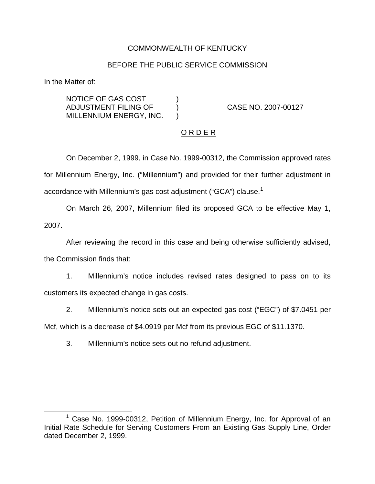## COMMONWEALTH OF KENTUCKY

## BEFORE THE PUBLIC SERVICE COMMISSION

In the Matter of:

NOTICE OF GAS COST  $)$ ADJUSTMENT FILING OF ) CASE NO. 2007-00127 MILLENNIUM ENERGY, INC. )

# O R D E R

On December 2, 1999, in Case No. 1999-00312, the Commission approved rates for Millennium Energy, Inc. ("Millennium") and provided for their further adjustment in accordance with Millennium's gas cost adjustment ("GCA") clause.<sup>1</sup>

On March 26, 2007, Millennium filed its proposed GCA to be effective May 1, 2007.

After reviewing the record in this case and being otherwise sufficiently advised, the Commission finds that:

1. Millennium's notice includes revised rates designed to pass on to its customers its expected change in gas costs.

2. Millennium's notice sets out an expected gas cost ("EGC") of \$7.0451 per Mcf, which is a decrease of \$4.0919 per Mcf from its previous EGC of \$11.1370.

3. Millennium's notice sets out no refund adjustment.

 $1$  Case No. 1999-00312, Petition of Millennium Energy, Inc. for Approval of an Initial Rate Schedule for Serving Customers From an Existing Gas Supply Line, Order dated December 2, 1999.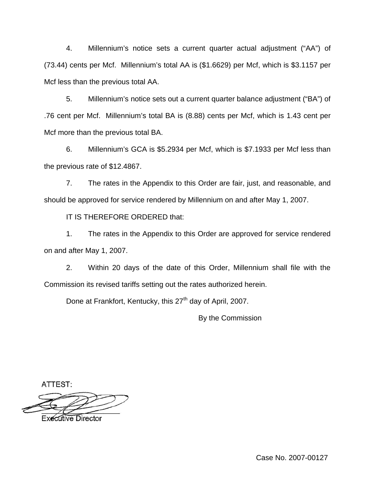4. Millennium's notice sets a current quarter actual adjustment ("AA") of (73.44) cents per Mcf. Millennium's total AA is (\$1.6629) per Mcf, which is \$3.1157 per Mcf less than the previous total AA.

5. Millennium's notice sets out a current quarter balance adjustment ("BA") of .76 cent per Mcf. Millennium's total BA is (8.88) cents per Mcf, which is 1.43 cent per Mcf more than the previous total BA.

6. Millennium's GCA is \$5.2934 per Mcf, which is \$7.1933 per Mcf less than the previous rate of \$12.4867.

7. The rates in the Appendix to this Order are fair, just, and reasonable, and should be approved for service rendered by Millennium on and after May 1, 2007.

IT IS THEREFORE ORDERED that:

1. The rates in the Appendix to this Order are approved for service rendered on and after May 1, 2007.

2. Within 20 days of the date of this Order, Millennium shall file with the Commission its revised tariffs setting out the rates authorized herein.

Done at Frankfort, Kentucky, this 27<sup>th</sup> day of April, 2007.

By the Commission

ATTEST:

Executive Director